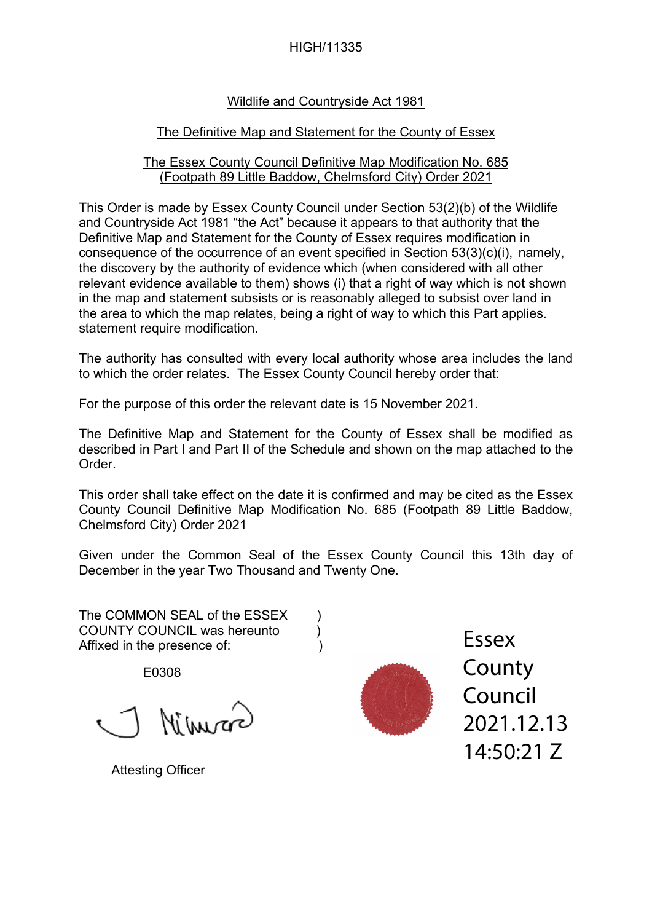#### HIGH/11335

## Wildlife and Countryside Act 1981

## The Definitive Map and Statement for the County of Essex

#### The Essex County Council Definitive Map Modification No. 685 (Footpath 89 Little Baddow, Chelmsford City) Order 2021

This Order is made by Essex County Council under Section 53(2)(b) of the Wildlife and Countryside Act 1981 "the Act" because it appears to that authority that the Definitive Map and Statement for the County of Essex requires modification in consequence of the occurrence of an event specified in Section 53(3)(c)(i), namely, the discovery by the authority of evidence which (when considered with all other relevant evidence available to them) shows (i) that a right of way which is not shown in the map and statement subsists or is reasonably alleged to subsist over land in the area to which the map relates, being a right of way to which this Part applies. statement require modification.

The authority has consulted with every local authority whose area includes the land to which the order relates. The Essex County Council hereby order that:

For the purpose of this order the relevant date is 15 November 2021.

The Definitive Map and Statement for the County of Essex shall be modified as described in Part I and Part II of the Schedule and shown on the map attached to the Order.

This order shall take effect on the date it is confirmed and may be cited as the Essex County Council Definitive Map Modification No. 685 (Footpath 89 Little Baddow, Chelmsford City) Order 2021

Given under the Common Seal of the Essex County Council this 13th day of December in the year Two Thousand and Twenty One.

The COMMON SEAL of the ESSEX ) COUNTY COUNCIL was hereunto (a) Affixed in the presence of:  $\qquad \qquad$ )

E0308

Attesting Officer<br>
Attesting Officer<br>
Attesting Officer

**County** Council 2021.12.13 14:50:21 Z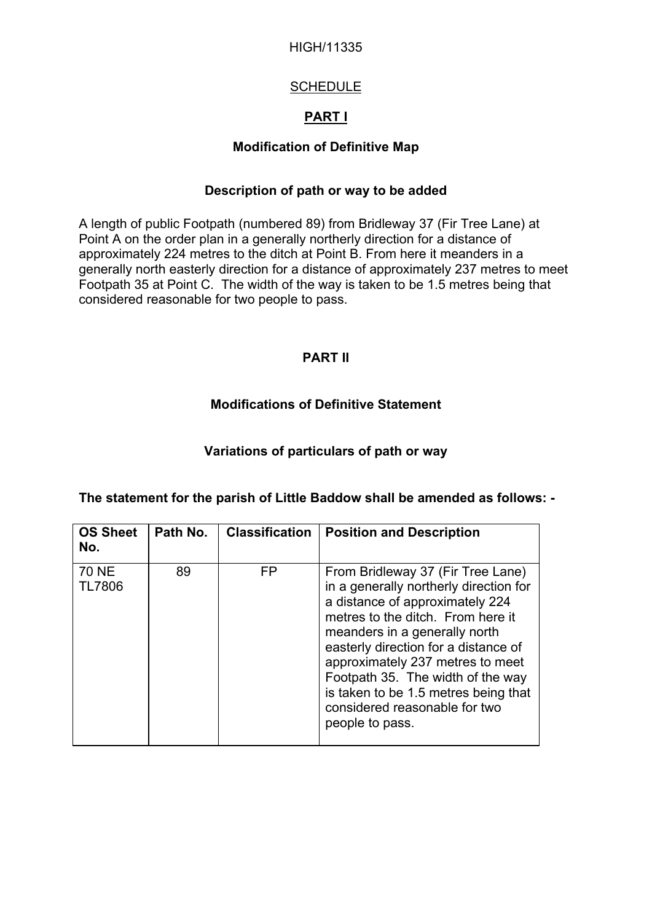#### HIGH/11335

## **SCHEDULE**

# **PART I**

## **Modification of Definitive Map**

#### **Description of path or way to be added**

A length of public Footpath (numbered 89) from Bridleway 37 (Fir Tree Lane) at Point A on the order plan in a generally northerly direction for a distance of approximately 224 metres to the ditch at Point B. From here it meanders in a generally north easterly direction for a distance of approximately 237 metres to meet Footpath 35 at Point C. The width of the way is taken to be 1.5 metres being that considered reasonable for two people to pass.

## **PART II**

## **Modifications of Definitive Statement**

## **Variations of particulars of path or way**

| <b>OS Sheet</b><br>No.        | Path No. | <b>Classification</b> | <b>Position and Description</b>                                                                                                                                                                                                                                                                                                                                                                   |
|-------------------------------|----------|-----------------------|---------------------------------------------------------------------------------------------------------------------------------------------------------------------------------------------------------------------------------------------------------------------------------------------------------------------------------------------------------------------------------------------------|
| <b>70 NE</b><br><b>TL7806</b> | 89       | FP                    | From Bridleway 37 (Fir Tree Lane)<br>in a generally northerly direction for<br>a distance of approximately 224<br>metres to the ditch. From here it<br>meanders in a generally north<br>easterly direction for a distance of<br>approximately 237 metres to meet<br>Footpath 35. The width of the way<br>is taken to be 1.5 metres being that<br>considered reasonable for two<br>people to pass. |

#### **The statement for the parish of Little Baddow shall be amended as follows: -**